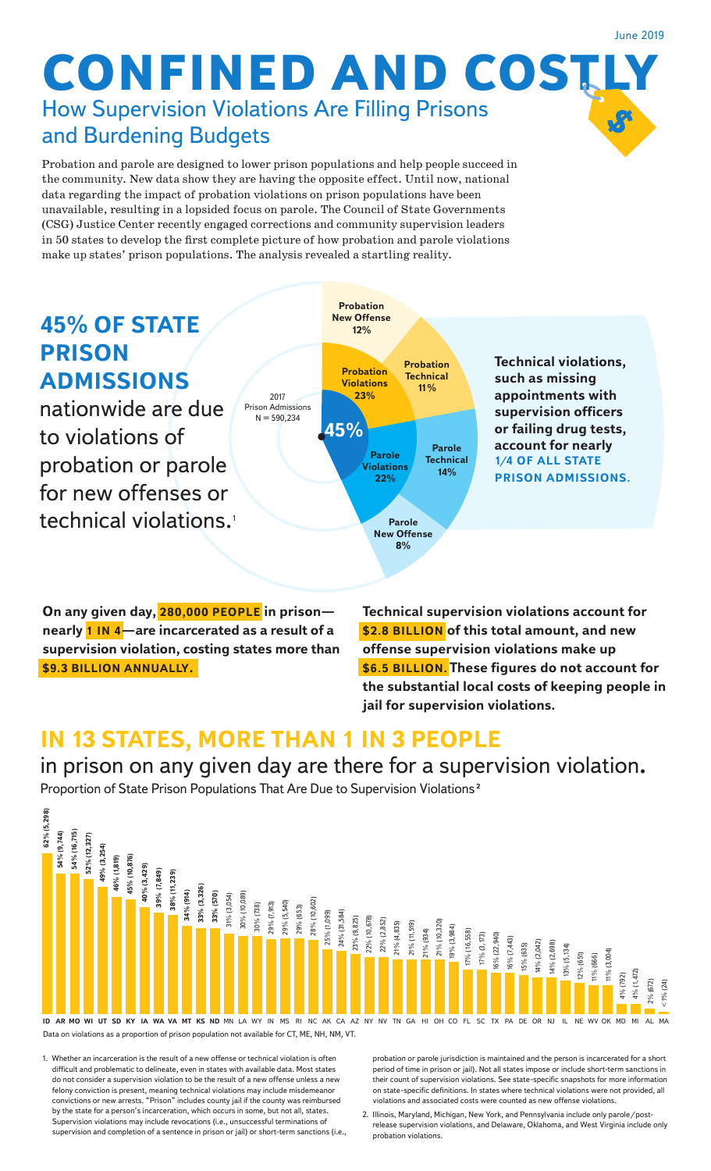#### June 2019

# **CONFINED AND COSTLY** How Supervision Violations Are Filling Prisons and Burdening Budgets

Probation and parole are designed to lower prison populations and help people succeed in the community. New data show they are having the opposite effect. Until now, national data regarding the impact of probation violations on prison populations have been unavailable, resulting in a lopsided focus on parole. The Council of State Governments (CSG) Justice Center recently engaged corrections and community supervision leaders in 50 states to develop the first complete picture of how probation and parole violations make up states' prison populations. The analysis revealed a startling reality.



**On any given day, 280,000 PEOPLE in prison nearly 1 IN 4—are incarcerated as a result of a supervision violation, costing states more than \$9.3 BILLION ANNUALLY.** 

**Technical supervision violations account for \$2.8 BILLION of this total amount, and new offense supervision violations make up \$6.5 BILLION. These figures do not account for the substantial local costs of keeping people in jail for supervision violations.**

## **IN 13 STATES, MORE THAN 1 IN 3 PEOPLE**

in prison on any given day are there for a supervision violation**.**

Proportion of State Prison Populations That Are Due to Supervision Violations **2**



1. Whether an incarceration is the result of a new offense or technical violation is often difficult and problematic to delineate, even in states with available data. Most states do not consider a supervision violation to be the result of a new offense unless a new felony conviction is present, meaning technical violations may include misdemeanor convictions or new arrests. "Prison" includes county jail if the county was reimbursed by the state for a person's incarceration, which occurs in some, but not all, states. Supervision violations may include revocations (i.e., unsuccessful terminations of supervision and completion of a sentence in prison or jail) or short-term sanctions (i.e. probation or parole jurisdiction is maintained and the person is incarcerated for a short period of time in prison or jail). Not all states impose or include short-term sanctions in their count of supervision violations. See state-specific snapshots for more information on state-specific definitions. In states where technical violations were not provided, all violations and associated costs were counted as new offense violations.

2. Illinois, Maryland, Michigan, New York, and Pennsylvania include only parole/postrelease supervision violations, and Delaware, Oklahoma, and West Virginia include only probation violations.